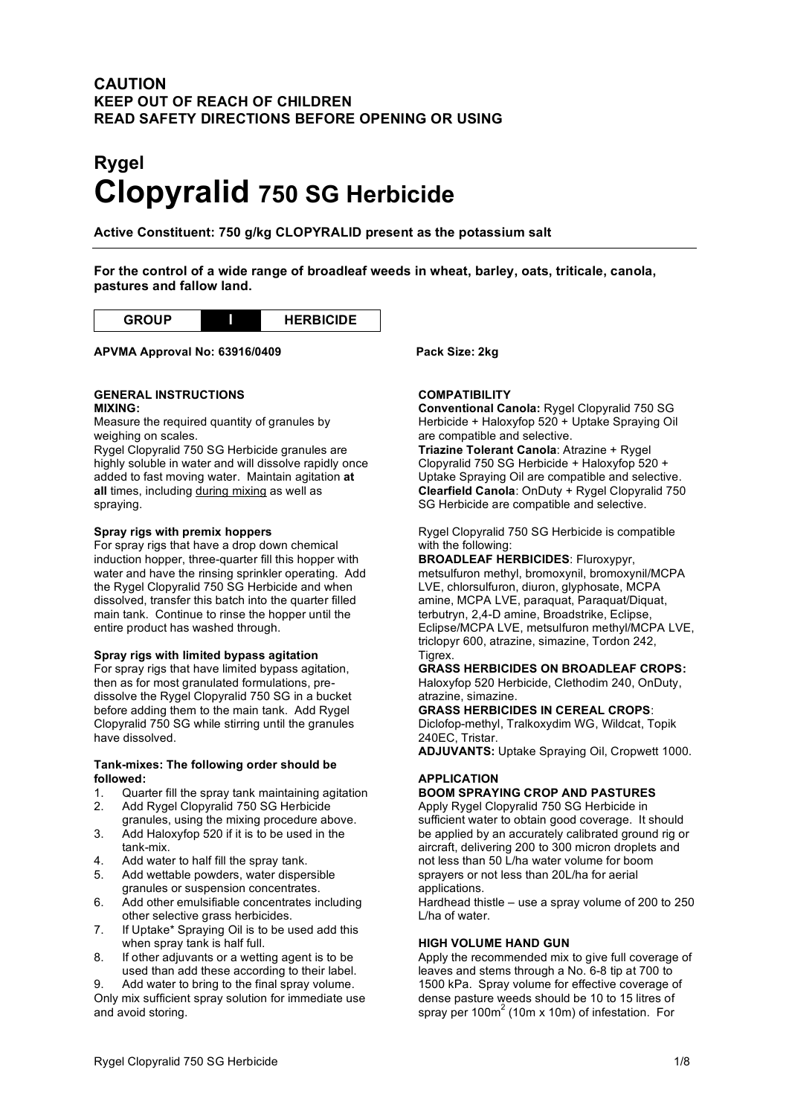# **CAUTION KEEP OUT OF REACH OF CHILDREN READ SAFETY DIRECTIONS BEFORE OPENING OR USING**

# **Rygel Clopyralid 750 SG Herbicide**

**Active Constituent: 750 g/kg CLOPYRALID present as the potassium salt**

**For the control of a wide range of broadleaf weeds in wheat, barley, oats, triticale, canola, pastures and fallow land.**



# **APVMA Approval No: 63916/0409 Pack Size: 2kg**

#### **GENERAL INSTRUCTIONS MIXING:**

Measure the required quantity of granules by weighing on scales.

Rygel Clopyralid 750 SG Herbicide granules are highly soluble in water and will dissolve rapidly once added to fast moving water. Maintain agitation **at all** times, including during mixing as well as spraying.

## **Spray rigs with premix hoppers**

For spray rigs that have a drop down chemical induction hopper, three-quarter fill this hopper with water and have the rinsing sprinkler operating. Add the Rygel Clopyralid 750 SG Herbicide and when dissolved, transfer this batch into the quarter filled main tank. Continue to rinse the hopper until the entire product has washed through.

## **Spray rigs with limited bypass agitation**

For spray rigs that have limited bypass agitation, then as for most granulated formulations, predissolve the Rygel Clopyralid 750 SG in a bucket before adding them to the main tank. Add Rygel Clopyralid 750 SG while stirring until the granules have dissolved.

# **Tank-mixes: The following order should be**

- followed:<br>1. Quar 1. Quarter fill the spray tank maintaining agitation 2. Add Rygel Clopyralid 750 SG Herbicide
- granules, using the mixing procedure above. 3. Add Haloxyfop 520 if it is to be used in the
- tank-mix.
- 4. Add water to half fill the spray tank.
- 5. Add wettable powders, water dispersible granules or suspension concentrates.
- 6. Add other emulsifiable concentrates including other selective grass herbicides.
- 7. If Uptake\* Spraying Oil is to be used add this when spray tank is half full.
- 8. If other adjuvants or a wetting agent is to be used than add these according to their label.

9. Add water to bring to the final spray volume. Only mix sufficient spray solution for immediate use and avoid storing.

# **COMPATIBILITY**

**Conventional Canola:** Rygel Clopyralid 750 SG Herbicide + Haloxyfop 520 + Uptake Spraying Oil are compatible and selective.

**Triazine Tolerant Canola**: Atrazine + Rygel Clopyralid 750 SG Herbicide + Haloxyfop 520 + Uptake Spraying Oil are compatible and selective. **Clearfield Canola**: OnDuty + Rygel Clopyralid 750 SG Herbicide are compatible and selective.

Rygel Clopyralid 750 SG Herbicide is compatible with the following:

**BROADLEAF HERBICIDES**: Fluroxypyr, metsulfuron methyl, bromoxynil, bromoxynil/MCPA LVE, chlorsulfuron, diuron, glyphosate, MCPA amine, MCPA LVE, paraquat, Paraquat/Diquat, terbutryn, 2,4-D amine, Broadstrike, Eclipse, Eclipse/MCPA LVE, metsulfuron methyl/MCPA LVE, triclopyr 600, atrazine, simazine, Tordon 242, Tigrex.

# **GRASS HERBICIDES ON BROADLEAF CROPS:**

Haloxyfop 520 Herbicide, Clethodim 240, OnDuty, atrazine, simazine.

**GRASS HERBICIDES IN CEREAL CROPS**: Diclofop-methyl, Tralkoxydim WG, Wildcat, Topik 240EC, Tristar.

**ADJUVANTS:** Uptake Spraying Oil, Cropwett 1000.

# **APPLICATION**

# **BOOM SPRAYING CROP AND PASTURES**

Apply Rygel Clopyralid 750 SG Herbicide in sufficient water to obtain good coverage. It should be applied by an accurately calibrated ground rig or aircraft, delivering 200 to 300 micron droplets and not less than 50 L/ha water volume for boom sprayers or not less than 20L/ha for aerial applications.

Hardhead thistle – use a spray volume of 200 to 250 L/ha of water.

## **HIGH VOLUME HAND GUN**

Apply the recommended mix to give full coverage of leaves and stems through a No. 6-8 tip at 700 to 1500 kPa. Spray volume for effective coverage of dense pasture weeds should be 10 to 15 litres of spray per  $100m^2$  (10m x 10m) of infestation. For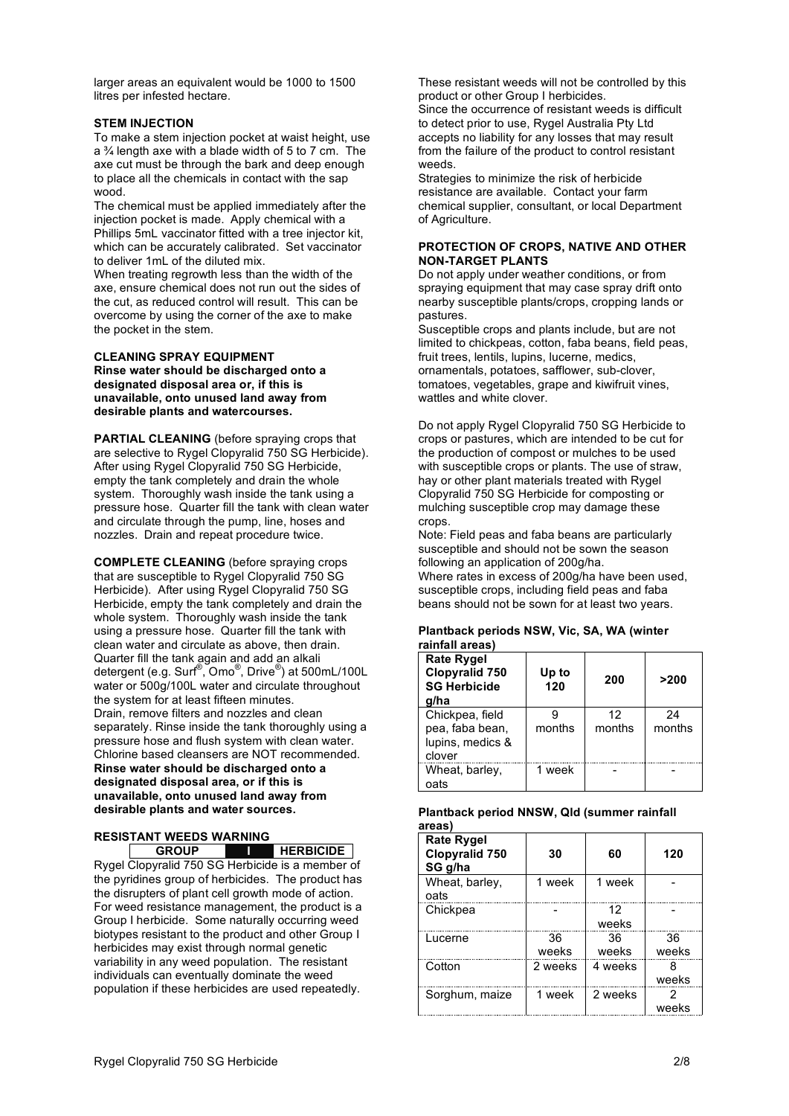larger areas an equivalent would be 1000 to 1500 litres per infested hectare.

#### **STEM INJECTION**

To make a stem injection pocket at waist height, use a ¾ length axe with a blade width of 5 to 7 cm. The axe cut must be through the bark and deep enough to place all the chemicals in contact with the sap wood.

The chemical must be applied immediately after the injection pocket is made. Apply chemical with a Phillips 5mL vaccinator fitted with a tree injector kit, which can be accurately calibrated. Set vaccinator to deliver 1mL of the diluted mix.

When treating regrowth less than the width of the axe, ensure chemical does not run out the sides of the cut, as reduced control will result. This can be overcome by using the corner of the axe to make the pocket in the stem.

#### **CLEANING SPRAY EQUIPMENT**

**Rinse water should be discharged onto a designated disposal area or, if this is unavailable, onto unused land away from desirable plants and watercourses.**

**PARTIAL CLEANING** (before spraying crops that are selective to Rygel Clopyralid 750 SG Herbicide). After using Rygel Clopyralid 750 SG Herbicide, empty the tank completely and drain the whole system. Thoroughly wash inside the tank using a pressure hose. Quarter fill the tank with clean water and circulate through the pump, line, hoses and nozzles. Drain and repeat procedure twice.

**COMPLETE CLEANING** (before spraying crops that are susceptible to Rygel Clopyralid 750 SG Herbicide). After using Rygel Clopyralid 750 SG Herbicide, empty the tank completely and drain the whole system. Thoroughly wash inside the tank using a pressure hose. Quarter fill the tank with clean water and circulate as above, then drain. Quarter fill the tank again and add an alkali detergent (e.g. Surf ®, Omo® , Drive® ) at 500mL/100L water or 500g/100L water and circulate throughout the system for at least fifteen minutes. Drain, remove filters and nozzles and clean separately. Rinse inside the tank thoroughly using a pressure hose and flush system with clean water. Chlorine based cleansers are NOT recommended. **Rinse water should be discharged onto a designated disposal area, or if this is unavailable, onto unused land away from desirable plants and water sources.**

#### **RESISTANT WEEDS WARNING GROUP I HERBICIDE**

Rygel Clopyralid 750 SG Herbicide is a member of the pyridines group of herbicides. The product has the disrupters of plant cell growth mode of action. For weed resistance management, the product is a Group I herbicide. Some naturally occurring weed biotypes resistant to the product and other Group I herbicides may exist through normal genetic variability in any weed population. The resistant individuals can eventually dominate the weed population if these herbicides are used repeatedly.

These resistant weeds will not be controlled by this product or other Group I herbicides. Since the occurrence of resistant weeds is difficult to detect prior to use, Rygel Australia Pty Ltd

accepts no liability for any losses that may result from the failure of the product to control resistant weeds.

Strategies to minimize the risk of herbicide resistance are available. Contact your farm chemical supplier, consultant, or local Department of Agriculture.

#### **PROTECTION OF CROPS, NATIVE AND OTHER NON-TARGET PLANTS**

Do not apply under weather conditions, or from spraying equipment that may case spray drift onto nearby susceptible plants/crops, cropping lands or pastures.

Susceptible crops and plants include, but are not limited to chickpeas, cotton, faba beans, field peas, fruit trees, lentils, lupins, lucerne, medics, ornamentals, potatoes, safflower, sub-clover, tomatoes, vegetables, grape and kiwifruit vines, wattles and white clover.

Do not apply Rygel Clopyralid 750 SG Herbicide to crops or pastures, which are intended to be cut for the production of compost or mulches to be used with susceptible crops or plants. The use of straw, hay or other plant materials treated with Rygel Clopyralid 750 SG Herbicide for composting or mulching susceptible crop may damage these crops.

Note: Field peas and faba beans are particularly susceptible and should not be sown the season following an application of 200g/ha.

Where rates in excess of 200g/ha have been used, susceptible crops, including field peas and faba beans should not be sown for at least two years.

#### **Plantback periods NSW, Vic, SA, WA (winter rainfall areas)**

| <b>Rate Rygel</b><br><b>Clopyralid 750</b><br><b>SG Herbicide</b><br>a/ha | Up to<br>120 | 200          | >200         |
|---------------------------------------------------------------------------|--------------|--------------|--------------|
| Chickpea, field<br>pea, faba bean,<br>lupins, medics &<br>clover          | months       | 12<br>months | 24<br>months |
| Wheat, barley,<br>oats                                                    | 1 week       |              |              |

#### **Plantback period NNSW, Qld (summer rainfall areas)**

| <b>Rate Rygel</b><br><b>Clopyralid 750</b><br>SG g/ha | 30          | 60          | 120         |
|-------------------------------------------------------|-------------|-------------|-------------|
| Wheat, barley,<br>oats                                | 1 week      | 1 week      |             |
| Chickpea                                              |             | 12<br>weeks |             |
| Lucerne                                               | 36<br>weeks | 36<br>weeks | 36<br>weeks |
| Cotton                                                | 2 weeks     | 4 weeks     | weeks       |
| Sorghum, maize                                        | 1 week      | 2 weeks     | weeks       |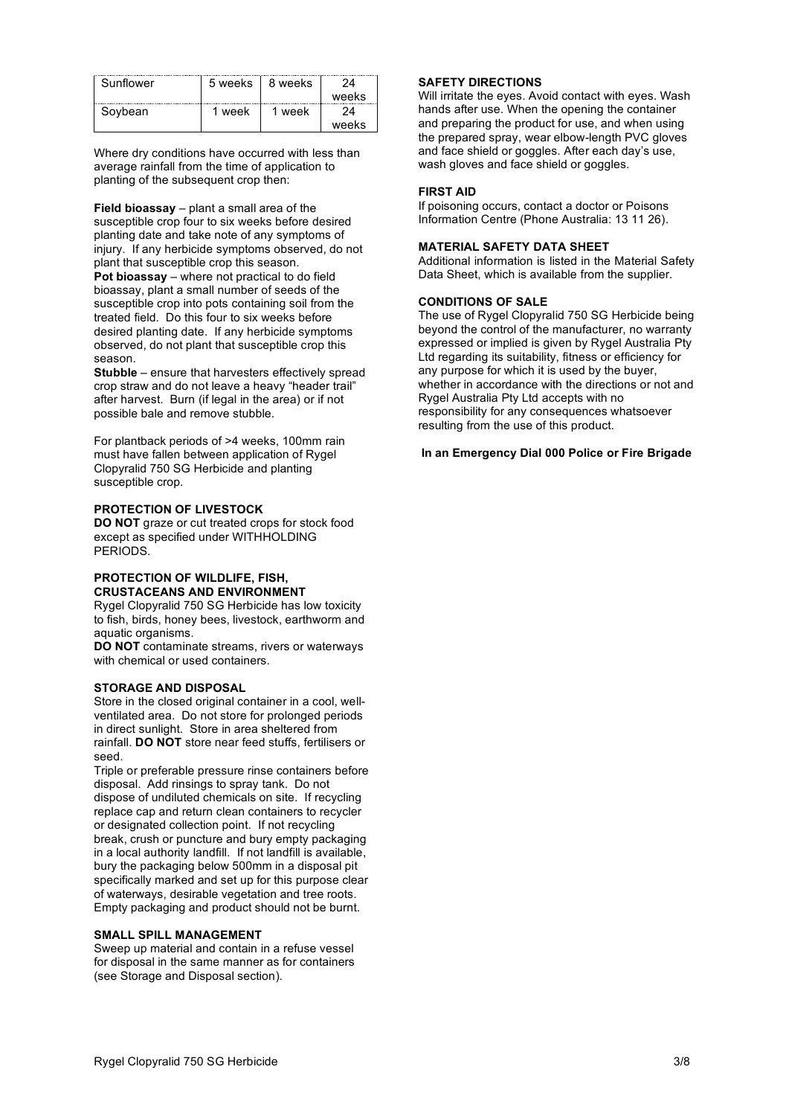| <b>Sunflower</b> | 5 weeks | 8 weeks |       |
|------------------|---------|---------|-------|
|                  |         |         | weeks |
| Sovbean          | week    | week    |       |
|                  |         |         | weeks |

Where dry conditions have occurred with less than average rainfall from the time of application to planting of the subsequent crop then:

**Field bioassay** – plant a small area of the susceptible crop four to six weeks before desired planting date and take note of any symptoms of injury. If any herbicide symptoms observed, do not plant that susceptible crop this season. **Pot bioassay** – where not practical to do field bioassay, plant a small number of seeds of the susceptible crop into pots containing soil from the treated field. Do this four to six weeks before desired planting date. If any herbicide symptoms observed, do not plant that susceptible crop this season.

**Stubble** – ensure that harvesters effectively spread crop straw and do not leave a heavy "header trail" after harvest. Burn (if legal in the area) or if not possible bale and remove stubble.

For plantback periods of >4 weeks, 100mm rain must have fallen between application of Rygel Clopyralid 750 SG Herbicide and planting susceptible crop.

#### **PROTECTION OF LIVESTOCK**

**DO NOT** graze or cut treated crops for stock food except as specified under WITHHOLDING PERIODS.

#### **PROTECTION OF WILDLIFE, FISH, CRUSTACEANS AND ENVIRONMENT**

Rygel Clopyralid 750 SG Herbicide has low toxicity to fish, birds, honey bees, livestock, earthworm and aquatic organisms.

**DO NOT** contaminate streams, rivers or waterways with chemical or used containers.

#### **STORAGE AND DISPOSAL**

Store in the closed original container in a cool, wellventilated area. Do not store for prolonged periods in direct sunlight. Store in area sheltered from rainfall. **DO NOT** store near feed stuffs, fertilisers or seed.

Triple or preferable pressure rinse containers before disposal. Add rinsings to spray tank. Do not dispose of undiluted chemicals on site. If recycling replace cap and return clean containers to recycler or designated collection point. If not recycling break, crush or puncture and bury empty packaging in a local authority landfill. If not landfill is available, bury the packaging below 500mm in a disposal pit specifically marked and set up for this purpose clear of waterways, desirable vegetation and tree roots. Empty packaging and product should not be burnt.

#### **SMALL SPILL MANAGEMENT**

Sweep up material and contain in a refuse vessel for disposal in the same manner as for containers (see Storage and Disposal section).

#### **SAFETY DIRECTIONS**

Will irritate the eyes. Avoid contact with eyes. Wash hands after use. When the opening the container and preparing the product for use, and when using the prepared spray, wear elbow-length PVC gloves and face shield or goggles. After each day's use, wash gloves and face shield or goggles.

#### **FIRST AID**

If poisoning occurs, contact a doctor or Poisons Information Centre (Phone Australia: 13 11 26).

#### **MATERIAL SAFETY DATA SHEET**

Additional information is listed in the Material Safety Data Sheet, which is available from the supplier.

#### **CONDITIONS OF SALE**

The use of Rygel Clopyralid 750 SG Herbicide being beyond the control of the manufacturer, no warranty expressed or implied is given by Rygel Australia Pty Ltd regarding its suitability, fitness or efficiency for any purpose for which it is used by the buyer, whether in accordance with the directions or not and Rygel Australia Pty Ltd accepts with no responsibility for any consequences whatsoever resulting from the use of this product.

#### **In an Emergency Dial 000 Police or Fire Brigade**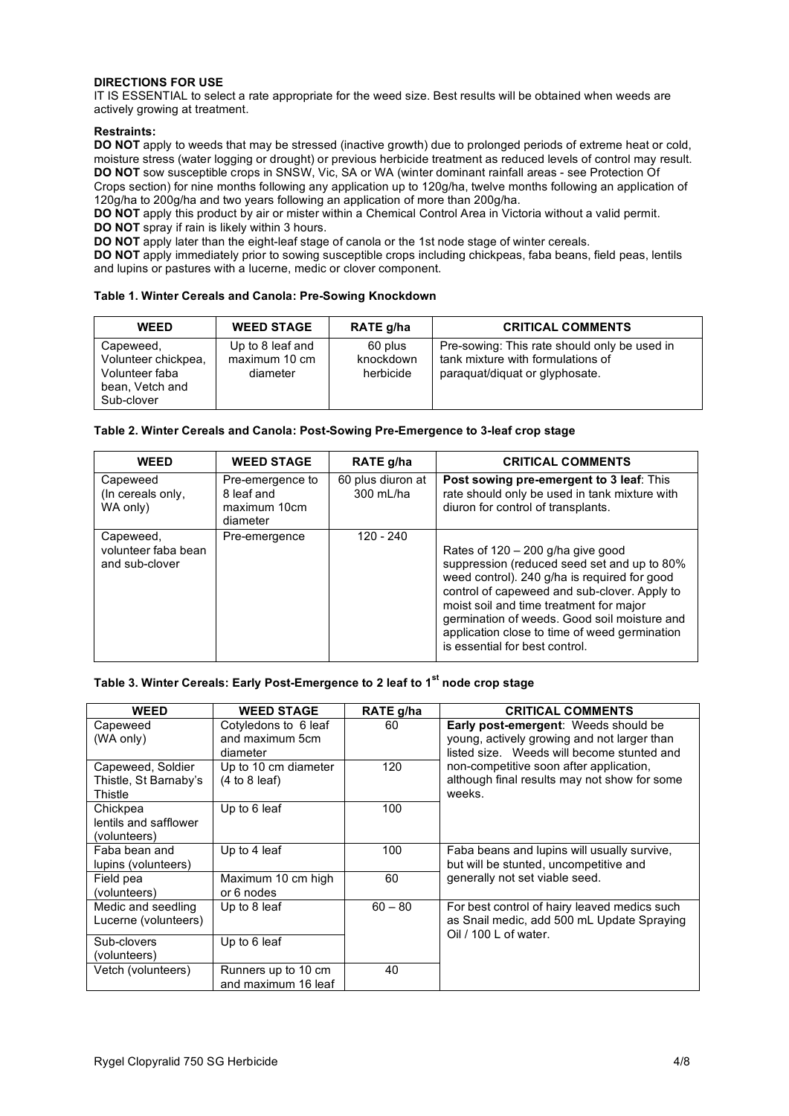### **DIRECTIONS FOR USE**

IT IS ESSENTIAL to select a rate appropriate for the weed size. Best results will be obtained when weeds are actively growing at treatment.

### **Restraints:**

**DO NOT** apply to weeds that may be stressed (inactive growth) due to prolonged periods of extreme heat or cold, moisture stress (water logging or drought) or previous herbicide treatment as reduced levels of control may result. **DO NOT** sow susceptible crops in SNSW, Vic, SA or WA (winter dominant rainfall areas - see Protection Of Crops section) for nine months following any application up to 120g/ha, twelve months following an application of 120g/ha to 200g/ha and two years following an application of more than 200g/ha.

**DO NOT** apply this product by air or mister within a Chemical Control Area in Victoria without a valid permit. **DO NOT** spray if rain is likely within 3 hours.

**DO NOT** apply later than the eight-leaf stage of canola or the 1st node stage of winter cereals.

**DO NOT** apply immediately prior to sowing susceptible crops including chickpeas, faba beans, field peas, lentils and lupins or pastures with a lucerne, medic or clover component.

#### **Table 1. Winter Cereals and Canola: Pre-Sowing Knockdown**

| <b>WEED</b>                                                                         | <b>WEED STAGE</b>                             | RATE g/ha                         | <b>CRITICAL COMMENTS</b>                                                                                            |
|-------------------------------------------------------------------------------------|-----------------------------------------------|-----------------------------------|---------------------------------------------------------------------------------------------------------------------|
| Capeweed,<br>Volunteer chickpea,<br>Volunteer faba<br>bean, Vetch and<br>Sub-clover | Up to 8 leaf and<br>maximum 10 cm<br>diameter | 60 plus<br>knockdown<br>herbicide | Pre-sowing: This rate should only be used in<br>tank mixture with formulations of<br>paraguat/diguat or glyphosate. |

#### **Table 2. Winter Cereals and Canola: Post-Sowing Pre-Emergence to 3-leaf crop stage**

| <b>WEED</b>                                        | <b>WEED STAGE</b>                                          | RATE g/ha                      | <b>CRITICAL COMMENTS</b>                                                                                                                                                                                                                                                                                                                                         |
|----------------------------------------------------|------------------------------------------------------------|--------------------------------|------------------------------------------------------------------------------------------------------------------------------------------------------------------------------------------------------------------------------------------------------------------------------------------------------------------------------------------------------------------|
| Capeweed<br>(In cereals only,<br>WA only)          | Pre-emergence to<br>8 leaf and<br>maximum 10cm<br>diameter | 60 plus diuron at<br>300 mL/ha | Post sowing pre-emergent to 3 leaf: This<br>rate should only be used in tank mixture with<br>diuron for control of transplants.                                                                                                                                                                                                                                  |
| Capeweed,<br>volunteer faba bean<br>and sub-clover | Pre-emergence                                              | 120 - 240                      | Rates of $120 - 200$ g/ha give good<br>suppression (reduced seed set and up to 80%<br>weed control). 240 g/ha is required for good<br>control of capeweed and sub-clover. Apply to<br>moist soil and time treatment for major<br>germination of weeds. Good soil moisture and<br>application close to time of weed germination<br>is essential for best control. |

## **Table 3. Winter Cereals: Early Post-Emergence to 2 leaf to 1st node crop stage**

| <b>WEED</b>                                           | <b>WEED STAGE</b>                                   | RATE g/ha | <b>CRITICAL COMMENTS</b>                                                                                                                 |
|-------------------------------------------------------|-----------------------------------------------------|-----------|------------------------------------------------------------------------------------------------------------------------------------------|
| Capeweed<br>(WA only)                                 | Cotyledons to 6 leaf<br>and maximum 5cm<br>diameter | 60        | <b>Early post-emergent:</b> Weeds should be<br>young, actively growing and not larger than<br>listed size. Weeds will become stunted and |
| Capeweed, Soldier<br>Thistle, St Barnaby's<br>Thistle | Up to 10 cm diameter<br>(4 to 8 leaf)               | 120       | non-competitive soon after application,<br>although final results may not show for some<br>weeks.                                        |
| Chickpea<br>lentils and safflower<br>(volunteers)     | Up to 6 leaf                                        | 100       |                                                                                                                                          |
| Faba bean and<br>lupins (volunteers)                  | Up to 4 leaf                                        | 100       | Faba beans and lupins will usually survive,<br>but will be stunted, uncompetitive and                                                    |
| Field pea<br>(volunteers)                             | Maximum 10 cm high<br>or 6 nodes                    | 60        | generally not set viable seed.                                                                                                           |
| Medic and seedling<br>Lucerne (volunteers)            | Up to 8 leaf                                        | $60 - 80$ | For best control of hairy leaved medics such<br>as Snail medic, add 500 mL Update Spraying<br>Oil / 100 L of water.                      |
| Sub-clovers<br>(volunteers)                           | Up to 6 leaf                                        |           |                                                                                                                                          |
| Vetch (volunteers)                                    | Runners up to 10 cm<br>and maximum 16 leaf          | 40        |                                                                                                                                          |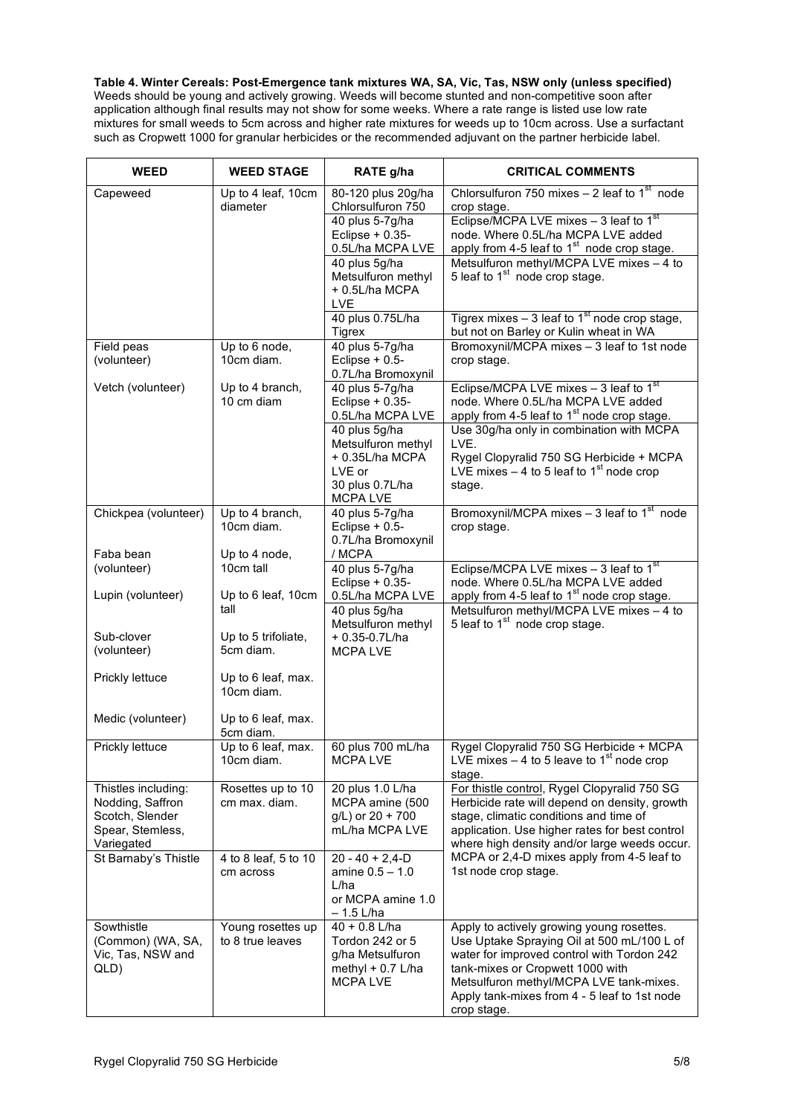**Table 4. Winter Cereals: Post-Emergence tank mixtures WA, SA, Vic, Tas, NSW only (unless specified)** Weeds should be young and actively growing. Weeds will become stunted and non-competitive soon after application although final results may not show for some weeks. Where a rate range is listed use low rate mixtures for small weeds to 5cm across and higher rate mixtures for weeds up to 10cm across. Use a surfactant such as Cropwett 1000 for granular herbicides or the recommended adjuvant on the partner herbicide label.

| <b>WEED</b>                         | <b>WEED STAGE</b>                     | RATE g/ha                               | <b>CRITICAL COMMENTS</b>                                                                             |
|-------------------------------------|---------------------------------------|-----------------------------------------|------------------------------------------------------------------------------------------------------|
| Capeweed                            | Up to 4 leaf, 10cm<br>diameter        | 80-120 plus 20g/ha<br>Chlorsulfuron 750 | Chlorsulfuron 750 mixes $-$ 2 leaf to 1 <sup>st</sup> node<br>crop stage.                            |
|                                     |                                       | 40 plus 5-7g/ha                         | Eclipse/MCPA LVE mixes $-3$ leaf to 1 <sup>st</sup>                                                  |
|                                     |                                       | Eclipse $+ 0.35 -$<br>0.5L/ha MCPA LVE  | node. Where 0.5L/ha MCPA LVE added<br>apply from 4-5 leaf to $1st$ node crop stage.                  |
|                                     |                                       | 40 plus 5g/ha                           | Metsulfuron methyl/MCPA LVE mixes - 4 to                                                             |
|                                     |                                       | Metsulfuron methyl<br>+0.5L/ha MCPA     | 5 leaf to 1 <sup>st</sup> node crop stage.                                                           |
|                                     |                                       | <b>LVE</b>                              |                                                                                                      |
|                                     |                                       | 40 plus 0.75L/ha<br>Tigrex              | Tigrex mixes $-3$ leaf to 1 <sup>st</sup> node crop stage,<br>but not on Barley or Kulin wheat in WA |
| Field peas                          | Up to 6 node,                         | 40 plus 5-7g/ha                         | Bromoxynil/MCPA mixes - 3 leaf to 1st node                                                           |
| (volunteer)                         | 10cm diam.                            | Eclipse $+ 0.5$ -<br>0.7L/ha Bromoxynil | crop stage.                                                                                          |
| Vetch (volunteer)                   | Up to 4 branch,                       | 40 plus 5-7g/ha                         | Eclipse/MCPA LVE mixes $-3$ leaf to 1 <sup>st</sup>                                                  |
|                                     | 10 cm diam                            | Eclipse $+ 0.35 -$<br>0.5L/ha MCPA LVE  | node. Where 0.5L/ha MCPA LVE added<br>apply from 4-5 leaf to 1 <sup>st</sup> node crop stage.        |
|                                     |                                       | 40 plus 5g/ha                           | Use 30g/ha only in combination with MCPA                                                             |
|                                     |                                       | Metsulfuron methyl<br>+0.35L/ha MCPA    | LVE.<br>Rygel Clopyralid 750 SG Herbicide + MCPA                                                     |
|                                     |                                       | LVE or                                  | LVE mixes $-4$ to 5 leaf to 1 <sup>st</sup> node crop                                                |
|                                     |                                       | 30 plus 0.7L/ha<br><b>MCPALVE</b>       | stage.                                                                                               |
| Chickpea (volunteer)                | Up to 4 branch,                       | 40 plus 5-7g/ha                         | Bromoxynil/MCPA mixes $-3$ leaf to 1 <sup>st</sup> node                                              |
|                                     | 10cm diam.                            | Eclipse $+ 0.5$ -<br>0.7L/ha Bromoxynil | crop stage.                                                                                          |
| Faba bean                           | Up to 4 node,                         | / MCPA                                  |                                                                                                      |
| (volunteer)                         | 10cm tall                             | 40 plus 5-7g/ha<br>Eclipse $+ 0.35 -$   | Eclipse/MCPA LVE mixes $-3$ leaf to 1 <sup>st</sup><br>node. Where 0.5L/ha MCPA LVE added            |
| Lupin (volunteer)                   | Up to 6 leaf, 10cm                    | 0.5L/ha MCPA LVE                        | apply from 4-5 leaf to $1st$ node crop stage.                                                        |
|                                     | tall                                  | 40 plus 5g/ha<br>Metsulfuron methyl     | Metsulfuron methyl/MCPA LVE mixes - 4 to<br>5 leaf to 1 <sup>st</sup> node crop stage.               |
| Sub-clover                          | Up to 5 trifoliate,                   | $+0.35 - 0.7$ L/ha                      |                                                                                                      |
| (volunteer)                         | 5cm diam.                             | <b>MCPALVE</b>                          |                                                                                                      |
| Prickly lettuce                     | Up to 6 leaf, max.                    |                                         |                                                                                                      |
|                                     | 10cm diam.                            |                                         |                                                                                                      |
| Medic (volunteer)                   | Up to 6 leaf, max.<br>5cm diam.       |                                         |                                                                                                      |
| Prickly lettuce                     | Up to 6 leaf, max.                    | 60 plus 700 mL/ha                       | Rygel Clopyralid 750 SG Herbicide + MCPA                                                             |
|                                     | 10cm diam.                            | <b>MCPALVE</b>                          | LVE mixes $-4$ to 5 leave to 1 <sup>st</sup> node crop<br>stage.                                     |
| Thistles including:                 | Rosettes up to 10                     | 20 plus 1.0 L/ha                        | For thistle control, Rygel Clopyralid 750 SG                                                         |
| Nodding, Saffron<br>Scotch, Slender | cm max. diam.                         | MCPA amine (500<br>g/L) or 20 + 700     | Herbicide rate will depend on density, growth<br>stage, climatic conditions and time of              |
| Spear, Stemless,                    |                                       | mL/ha MCPA LVE                          | application. Use higher rates for best control                                                       |
| Variegated<br>St Barnaby's Thistle  | 4 to 8 leaf, 5 to 10                  | $20 - 40 + 2,4 - D$                     | where high density and/or large weeds occur.<br>MCPA or 2,4-D mixes apply from 4-5 leaf to           |
|                                     | cm across                             | amine 0.5 - 1.0                         | 1st node crop stage.                                                                                 |
|                                     |                                       | L/ha<br>or MCPA amine 1.0               |                                                                                                      |
|                                     |                                       | $-1.5$ L/ha                             |                                                                                                      |
| Sowthistle<br>(Common) (WA, SA,     | Young rosettes up<br>to 8 true leaves | $40 + 0.8$ L/ha<br>Tordon 242 or 5      | Apply to actively growing young rosettes.<br>Use Uptake Spraying Oil at 500 mL/100 L of              |
| Vic, Tas, NSW and                   |                                       | g/ha Metsulfuron                        | water for improved control with Tordon 242                                                           |
| QLD)                                |                                       | methyl + $0.7$ L/ha<br><b>MCPA LVE</b>  | tank-mixes or Cropwett 1000 with<br>Metsulfuron methyl/MCPA LVE tank-mixes.                          |
|                                     |                                       |                                         | Apply tank-mixes from 4 - 5 leaf to 1st node                                                         |
|                                     |                                       |                                         | crop stage.                                                                                          |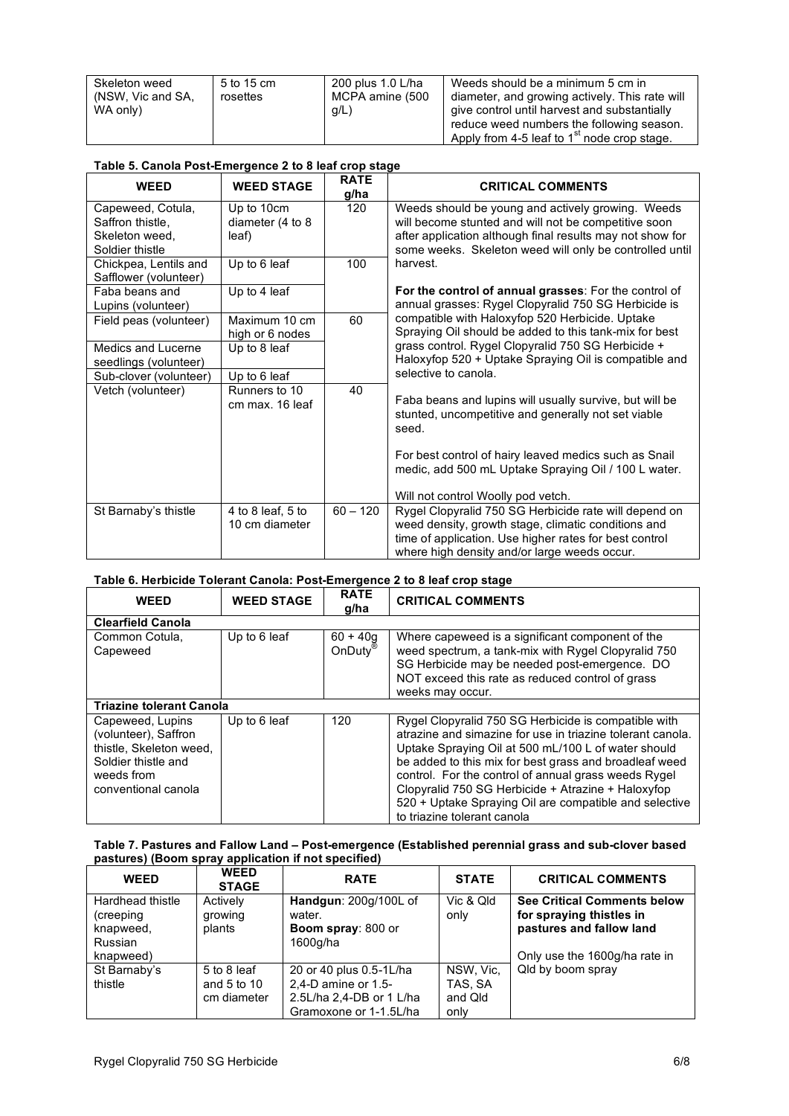| Skeleton weed     | 5 to 15 cm | 200 plus 1.0 L/ha | Weeds should be a minimum 5 cm in              |
|-------------------|------------|-------------------|------------------------------------------------|
| (NSW, Vic and SA, | rosettes   | MCPA amine (500   | diameter, and growing actively. This rate will |
| WA only)          |            | $g/L$ )           | give control until harvest and substantially   |
|                   |            |                   | reduce weed numbers the following season.      |
|                   |            |                   | Apply from 4-5 leaf to $1st$ node crop stage.  |

| Table 5. Canola Post-Emergence 2 to 8 leaf crop stage                      |                                         |                     |                                                                                                                                                                                                                                   |  |
|----------------------------------------------------------------------------|-----------------------------------------|---------------------|-----------------------------------------------------------------------------------------------------------------------------------------------------------------------------------------------------------------------------------|--|
| <b>WEED</b>                                                                | <b>WEED STAGE</b>                       | <b>RATE</b><br>g/ha | <b>CRITICAL COMMENTS</b>                                                                                                                                                                                                          |  |
| Capeweed, Cotula,<br>Saffron thistle.<br>Skeleton weed.<br>Soldier thistle | Up to 10cm<br>diameter (4 to 8<br>leaf) | 120                 | Weeds should be young and actively growing. Weeds<br>will become stunted and will not be competitive soon<br>after application although final results may not show for<br>some weeks. Skeleton weed will only be controlled until |  |
| Chickpea, Lentils and<br>Safflower (volunteer)                             | Up to 6 leaf                            | 100                 | harvest.                                                                                                                                                                                                                          |  |
| Faba beans and<br>Lupins (volunteer)                                       | Up to 4 leaf                            |                     | For the control of annual grasses: For the control of<br>annual grasses: Rygel Clopyralid 750 SG Herbicide is                                                                                                                     |  |
| Field peas (volunteer)                                                     | Maximum 10 cm<br>high or 6 nodes        | 60                  | compatible with Haloxyfop 520 Herbicide. Uptake<br>Spraying Oil should be added to this tank-mix for best                                                                                                                         |  |
| Medics and Lucerne<br>seedlings (volunteer)                                | Up to 8 leaf                            |                     | grass control. Rygel Clopyralid 750 SG Herbicide +<br>Haloxyfop 520 + Uptake Spraying Oil is compatible and                                                                                                                       |  |
| Sub-clover (volunteer)                                                     | Up to 6 leaf                            |                     | selective to canola.                                                                                                                                                                                                              |  |
| Vetch (volunteer)                                                          | Runners to 10<br>cm max. 16 leaf        | 40                  | Faba beans and lupins will usually survive, but will be<br>stunted, uncompetitive and generally not set viable<br>seed.                                                                                                           |  |
|                                                                            |                                         |                     | For best control of hairy leaved medics such as Snail<br>medic, add 500 mL Uptake Spraying Oil / 100 L water.                                                                                                                     |  |
|                                                                            |                                         |                     | Will not control Woolly pod vetch.                                                                                                                                                                                                |  |
| St Barnaby's thistle                                                       | 4 to 8 leaf, 5 to<br>10 cm diameter     | $60 - 120$          | Rygel Clopyralid 750 SG Herbicide rate will depend on<br>weed density, growth stage, climatic conditions and<br>time of application. Use higher rates for best control<br>where high density and/or large weeds occur.            |  |

# **Table 6. Herbicide Tolerant Canola: Post-Emergence 2 to 8 leaf crop stage**

| WEED                                                                                                                            | <b>WEED STAGE</b> | <b>RATE</b><br>g/ha               | <b>CRITICAL COMMENTS</b>                                                                                                                                                                                                                                                                                                                                                                                                                   |
|---------------------------------------------------------------------------------------------------------------------------------|-------------------|-----------------------------------|--------------------------------------------------------------------------------------------------------------------------------------------------------------------------------------------------------------------------------------------------------------------------------------------------------------------------------------------------------------------------------------------------------------------------------------------|
| <b>Clearfield Canola</b>                                                                                                        |                   |                                   |                                                                                                                                                                                                                                                                                                                                                                                                                                            |
| Common Cotula.<br>Capeweed                                                                                                      | Up to 6 leaf      | $60 + 40a$<br>OnDuty <sup>®</sup> | Where capeweed is a significant component of the<br>weed spectrum, a tank-mix with Rygel Clopyralid 750<br>SG Herbicide may be needed post-emergence. DO<br>NOT exceed this rate as reduced control of grass<br>weeks may occur.                                                                                                                                                                                                           |
| <b>Triazine tolerant Canola</b>                                                                                                 |                   |                                   |                                                                                                                                                                                                                                                                                                                                                                                                                                            |
| Capeweed, Lupins<br>(volunteer), Saffron<br>thistle, Skeleton weed,<br>Soldier thistle and<br>weeds from<br>conventional canola | Up to 6 leaf      | 120                               | Rygel Clopyralid 750 SG Herbicide is compatible with<br>atrazine and simazine for use in triazine tolerant canola.<br>Uptake Spraying Oil at 500 mL/100 L of water should<br>be added to this mix for best grass and broadleaf weed<br>control. For the control of annual grass weeds Rygel<br>Clopyralid 750 SG Herbicide + Atrazine + Haloxyfop<br>520 + Uptake Spraying Oil are compatible and selective<br>to triazine tolerant canola |

### **Table 7. Pastures and Fallow Land – Post-emergence (Established perennial grass and sub-clover based pastures) (Boom spray application if not specified)**

| <b>WEED</b>             | <b>WEED</b><br><b>STAGE</b> | <b>RATE</b>                         | <b>STATE</b> | <b>CRITICAL COMMENTS</b>                             |
|-------------------------|-----------------------------|-------------------------------------|--------------|------------------------------------------------------|
| Hardhead thistle        | Actively                    | Handgun: 200g/100L of               | Vic & Qld    | <b>See Critical Comments below</b>                   |
| (creeping)<br>knapweed, | growing<br>plants           | water.<br><b>Boom spray: 800 or</b> | only         | for spraying thistles in<br>pastures and fallow land |
| <b>Russian</b>          |                             | 1600g/ha                            |              |                                                      |
| knapweed)               |                             |                                     |              | Only use the 1600g/ha rate in                        |
| St Barnaby's            | 5 to 8 leaf                 | 20 or 40 plus 0.5-1L/ha             | NSW. Vic.    | Qld by boom spray                                    |
| thistle                 | and $5$ to $10$             | 2,4-D amine or 1.5-                 | TAS. SA      |                                                      |
|                         | cm diameter                 | 2.5L/ha 2,4-DB or 1 L/ha            | and Qld      |                                                      |
|                         |                             | Gramoxone or 1-1.5L/ha              | only         |                                                      |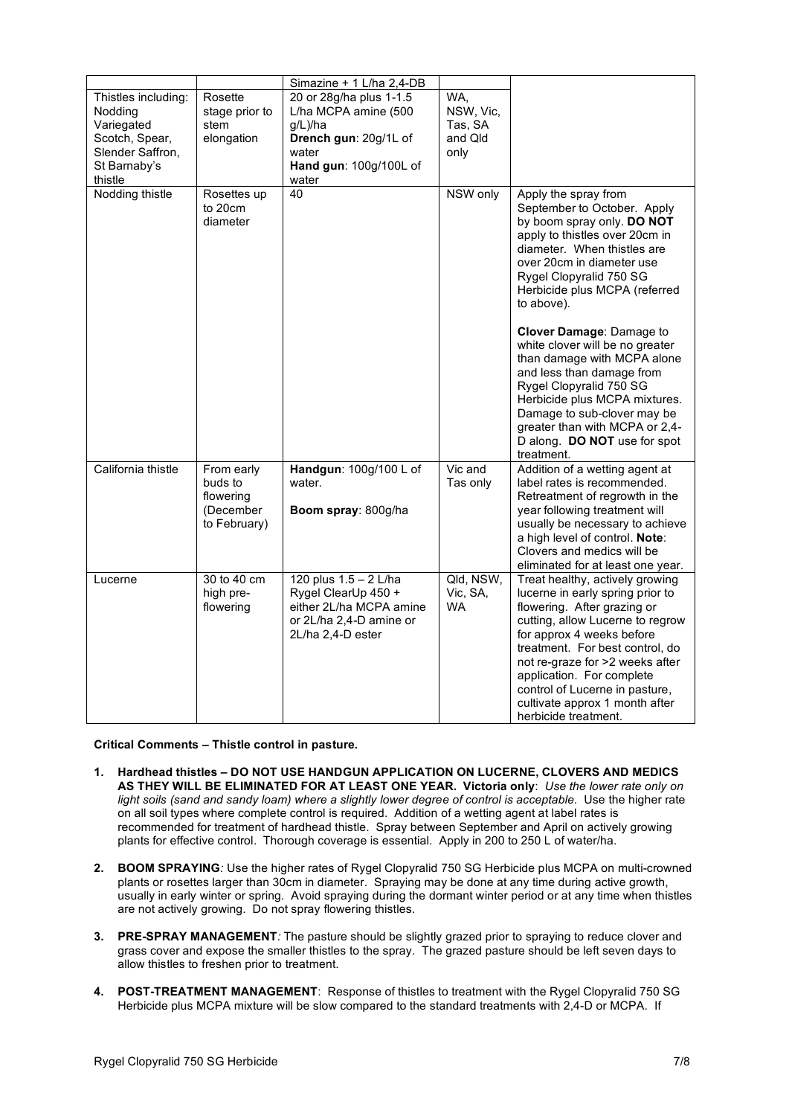|                                |                                                                 | Simazine + 1 L/ha 2,4-DB                                                                                                |                                    |                                                                                                                                                                                                                                                                                                                                                                    |
|--------------------------------|-----------------------------------------------------------------|-------------------------------------------------------------------------------------------------------------------------|------------------------------------|--------------------------------------------------------------------------------------------------------------------------------------------------------------------------------------------------------------------------------------------------------------------------------------------------------------------------------------------------------------------|
| Thistles including:<br>Nodding | Rosette<br>stage prior to                                       | 20 or 28g/ha plus 1-1.5<br>L/ha MCPA amine (500                                                                         | WA,<br>NSW, Vic,                   |                                                                                                                                                                                                                                                                                                                                                                    |
| Variegated                     | stem                                                            | g/L)/ha                                                                                                                 | Tas, SA                            |                                                                                                                                                                                                                                                                                                                                                                    |
| Scotch, Spear,                 | elongation                                                      | Drench gun: 20g/1L of                                                                                                   | and Qld                            |                                                                                                                                                                                                                                                                                                                                                                    |
| Slender Saffron,               |                                                                 | water                                                                                                                   | only                               |                                                                                                                                                                                                                                                                                                                                                                    |
| St Barnaby's                   |                                                                 | Hand gun: 100g/100L of                                                                                                  |                                    |                                                                                                                                                                                                                                                                                                                                                                    |
| thistle                        |                                                                 | water                                                                                                                   |                                    |                                                                                                                                                                                                                                                                                                                                                                    |
| Nodding thistle                | Rosettes up<br>to 20cm<br>diameter                              | 40                                                                                                                      | NSW only                           | Apply the spray from<br>September to October. Apply<br>by boom spray only. DO NOT<br>apply to thistles over 20cm in<br>diameter. When thistles are<br>over 20cm in diameter use<br>Rygel Clopyralid 750 SG<br>Herbicide plus MCPA (referred<br>to above).                                                                                                          |
|                                |                                                                 |                                                                                                                         |                                    | Clover Damage: Damage to<br>white clover will be no greater<br>than damage with MCPA alone<br>and less than damage from<br>Rygel Clopyralid 750 SG<br>Herbicide plus MCPA mixtures.<br>Damage to sub-clover may be<br>greater than with MCPA or 2,4-<br>D along. DO NOT use for spot<br>treatment.                                                                 |
| California thistle             | From early<br>buds to<br>flowering<br>(December<br>to February) | Handgun: 100g/100 L of<br>water.<br>Boom spray: 800g/ha                                                                 | Vic and<br>Tas only                | Addition of a wetting agent at<br>label rates is recommended.<br>Retreatment of regrowth in the<br>year following treatment will<br>usually be necessary to achieve<br>a high level of control. Note:<br>Clovers and medics will be<br>eliminated for at least one year.                                                                                           |
| Lucerne                        | 30 to 40 cm<br>high pre-<br>flowering                           | 120 plus 1.5 - 2 L/ha<br>Rygel ClearUp 450 +<br>either 2L/ha MCPA amine<br>or 2L/ha 2,4-D amine or<br>2L/ha 2,4-D ester | Qld, NSW,<br>Vic, SA,<br><b>WA</b> | Treat healthy, actively growing<br>lucerne in early spring prior to<br>flowering. After grazing or<br>cutting, allow Lucerne to regrow<br>for approx 4 weeks before<br>treatment. For best control, do<br>not re-graze for >2 weeks after<br>application. For complete<br>control of Lucerne in pasture,<br>cultivate approx 1 month after<br>herbicide treatment. |

**Critical Comments – Thistle control in pasture.**

- **1. Hardhead thistles – DO NOT USE HANDGUN APPLICATION ON LUCERNE, CLOVERS AND MEDICS AS THEY WILL BE ELIMINATED FOR AT LEAST ONE YEAR. Victoria only**: *Use the lower rate only on light soils (sand and sandy loam) where a slightly lower degree of control is acceptable.* Use the higher rate on all soil types where complete control is required. Addition of a wetting agent at label rates is recommended for treatment of hardhead thistle. Spray between September and April on actively growing plants for effective control. Thorough coverage is essential. Apply in 200 to 250 L of water/ha.
- **2. BOOM SPRAYING***:* Use the higher rates of Rygel Clopyralid 750 SG Herbicide plus MCPA on multi-crowned plants or rosettes larger than 30cm in diameter. Spraying may be done at any time during active growth, usually in early winter or spring. Avoid spraying during the dormant winter period or at any time when thistles are not actively growing. Do not spray flowering thistles.
- **3. PRE-SPRAY MANAGEMENT***:* The pasture should be slightly grazed prior to spraying to reduce clover and grass cover and expose the smaller thistles to the spray. The grazed pasture should be left seven days to allow thistles to freshen prior to treatment.
- **4. POST-TREATMENT MANAGEMENT**: Response of thistles to treatment with the Rygel Clopyralid 750 SG Herbicide plus MCPA mixture will be slow compared to the standard treatments with 2,4-D or MCPA. If